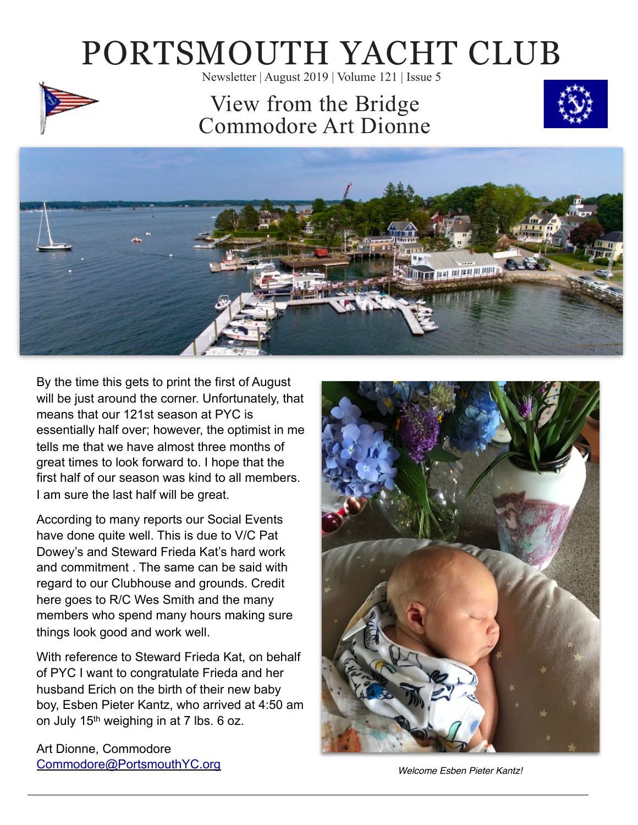# PORTSMOUTH YACHT CLUB

Newsletter | August 2019 | Volume 121 | Issue 5

### View from the Bridge Commodore Art Dionne





By the time this gets to print the first of August will be just around the corner. Unfortunately, that means that our 121st season at PYC is essentially half over; however, the optimist in me tells me that we have almost three months of great times to look forward to. I hope that the first half of our season was kind to all members. I am sure the last half will be great.

According to many reports our Social Events have done quite well. This is due to V/C Pat Dowey's and Steward Frieda Kat's hard work and commitment . The same can be said with regard to our Clubhouse and grounds. Credit here goes to R/C Wes Smith and the many members who spend many hours making sure things look good and work well.

With reference to Steward Frieda Kat, on behalf of PYC I want to congratulate Frieda and her husband Erich on the birth of their new baby boy, Esben Pieter Kantz, who arrived at 4:50 am on July 15th weighing in at 7 lbs. 6 oz.

Art Dionne, Commodore [Commodore@PortsmouthYC.org](mailto:Commodore@PortsmouthYC.org)



*Welcome Esben Pieter Kantz!*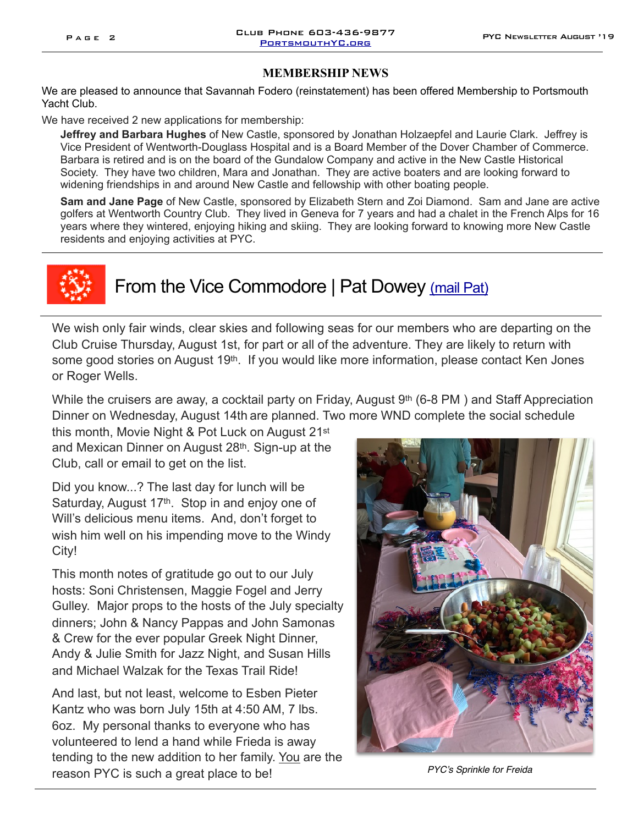#### **MEMBERSHIP NEWS**

We are pleased to announce that Savannah Fodero (reinstatement) has been offered Membership to Portsmouth Yacht Club.

We have received 2 new applications for membership:

**Jeffrey and Barbara Hughes** of New Castle, sponsored by Jonathan Holzaepfel and Laurie Clark. Jeffrey is Vice President of Wentworth-Douglass Hospital and is a Board Member of the Dover Chamber of Commerce. Barbara is retired and is on the board of the Gundalow Company and active in the New Castle Historical Society. They have two children, Mara and Jonathan. They are active boaters and are looking forward to widening friendships in and around New Castle and fellowship with other boating people.

**Sam and Jane Page** of New Castle, sponsored by Elizabeth Stern and Zoi Diamond. Sam and Jane are active golfers at Wentworth Country Club. They lived in Geneva for 7 years and had a chalet in the French Alps for 16 years where they wintered, enjoying hiking and skiing. They are looking forward to knowing more New Castle residents and enjoying activities at PYC.



#### From the Vice Commodore | Pat Dowey [\(mail Pat\)](mailto:vicecommodore@portsmouthyc.org)

We wish only fair winds, clear skies and following seas for our members who are departing on the Club Cruise Thursday, August 1st, for part or all of the adventure. They are likely to return with some good stories on August 19<sup>th</sup>. If you would like more information, please contact Ken Jones or Roger Wells.

While the cruisers are away, a cocktail party on Friday, August 9<sup>th</sup> (6-8 PM) and Staff Appreciation Dinner on Wednesday, August 14th are planned. Two more WND complete the social schedule

this month, Movie Night & Pot Luck on August 21st and Mexican Dinner on August 28th. Sign-up at the Club, call or email to get on the list.

Did you know...? The last day for lunch will be Saturday, August 17<sup>th</sup>. Stop in and enjoy one of Will's delicious menu items. And, don't forget to wish him well on his impending move to the Windy City!

This month notes of gratitude go out to our July hosts: Soni Christensen, Maggie Fogel and Jerry Gulley. Major props to the hosts of the July specialty dinners; John & Nancy Pappas and John Samonas & Crew for the ever popular Greek Night Dinner, Andy & Julie Smith for Jazz Night, and Susan Hills and Michael Walzak for the Texas Trail Ride!

And last, but not least, welcome to Esben Pieter Kantz who was born July 15th at 4:50 AM, 7 lbs. 6oz. My personal thanks to everyone who has volunteered to lend a hand while Frieda is away tending to the new addition to her family. You are the reason PYC is such a great place to be!

![](_page_1_Picture_16.jpeg)

*PYC's Sprinkle for Freida*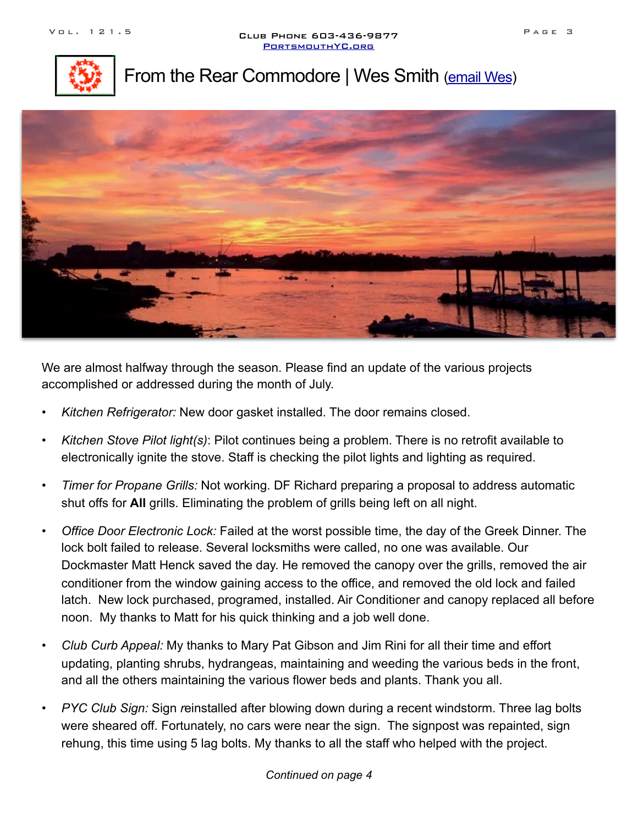![](_page_2_Picture_2.jpeg)

#### From the Rear Commodore | Wes Smith [\(email Wes](mailto:RearCommdore@PortsmouthYC.org))

![](_page_2_Picture_4.jpeg)

We are almost halfway through the season. Please find an update of the various projects accomplished or addressed during the month of July.

- *Kitchen Refrigerator:* New door gasket installed. The door remains closed.
- *Kitchen Stove Pilot light(s)*: Pilot continues being a problem. There is no retrofit available to electronically ignite the stove. Staff is checking the pilot lights and lighting as required.
- *Timer for Propane Grills:* Not working. DF Richard preparing a proposal to address automatic shut offs for **All** grills. Eliminating the problem of grills being left on all night.
- *Office Door Electronic Lock:* Failed at the worst possible time, the day of the Greek Dinner. The lock bolt failed to release. Several locksmiths were called, no one was available. Our Dockmaster Matt Henck saved the day. He removed the canopy over the grills, removed the air conditioner from the window gaining access to the office, and removed the old lock and failed latch. New lock purchased, programed, installed. Air Conditioner and canopy replaced all before noon. My thanks to Matt for his quick thinking and a job well done.
- *Club Curb Appeal:* My thanks to Mary Pat Gibson and Jim Rini for all their time and effort updating, planting shrubs, hydrangeas, maintaining and weeding the various beds in the front, and all the others maintaining the various flower beds and plants. Thank you all.
- *PYC Club Sign:* Sign *r*einstalled after blowing down during a recent windstorm. Three lag bolts were sheared off. Fortunately, no cars were near the sign. The signpost was repainted, sign rehung, this time using 5 lag bolts. My thanks to all the staff who helped with the project.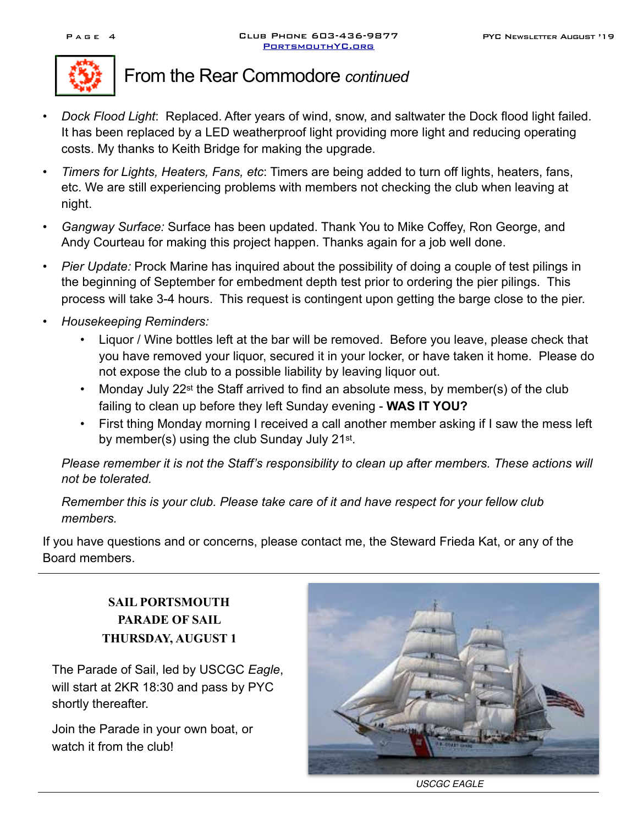![](_page_3_Picture_3.jpeg)

#### From the Rear Commodore *continued*

- *Dock Flood Light*: Replaced. After years of wind, snow, and saltwater the Dock flood light failed. It has been replaced by a LED weatherproof light providing more light and reducing operating costs. My thanks to Keith Bridge for making the upgrade.
- *Timers for Lights, Heaters, Fans, etc*: Timers are being added to turn off lights, heaters, fans, etc. We are still experiencing problems with members not checking the club when leaving at night.
- *Gangway Surface:* Surface has been updated. Thank You to Mike Coffey, Ron George, and Andy Courteau for making this project happen. Thanks again for a job well done.
- *Pier Update:* Prock Marine has inquired about the possibility of doing a couple of test pilings in the beginning of September for embedment depth test prior to ordering the pier pilings. This process will take 3-4 hours. This request is contingent upon getting the barge close to the pier.
- *• Housekeeping Reminders:* 
	- Liquor / Wine bottles left at the bar will be removed. Before you leave, please check that you have removed your liquor, secured it in your locker, or have taken it home. Please do not expose the club to a possible liability by leaving liquor out.
	- Monday July 22<sup>st</sup> the Staff arrived to find an absolute mess, by member(s) of the club failing to clean up before they left Sunday evening - **WAS IT YOU?**
	- First thing Monday morning I received a call another member asking if I saw the mess left by member(s) using the club Sunday July 21<sup>st</sup>.

*Please remember it is not the Staff's responsibility to clean up after members. These actions will not be tolerated.* 

*Remember this is your club. Please take care of it and have respect for your fellow club members.* 

If you have questions and or concerns, please contact me, the Steward Frieda Kat, or any of the Board members.

> **SAIL PORTSMOUTH PARADE OF SAIL THURSDAY, AUGUST 1**

The Parade of Sail, led by USCGC *Eagle*, will start at 2KR 18:30 and pass by PYC shortly thereafter.

Join the Parade in your own boat, or watch it from the club!

![](_page_3_Picture_19.jpeg)

*USCGC EAGLE*